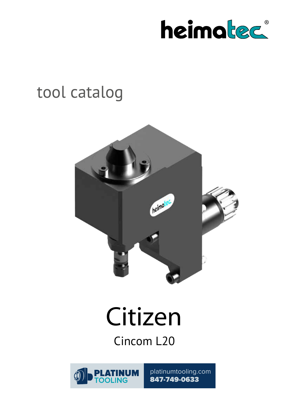

## tool catalog



# **Citizen**

Cincom L20



platinumtooling.com 847-749-0633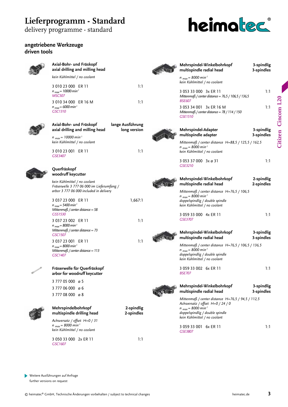## **Lieferprogramm - Standard**

delivery programme - standard

#### **angetriebene Werkzeuge driven tools**



#### **Axial-Bohr- und Fräskopf axial drilling and milling head** *kein Kühlmittel / no coolant*

| 3 010 23 000 ER 11                             | 1:1 |
|------------------------------------------------|-----|
| n <sub>max</sub> = 10000 min'<br><b>MSC507</b> |     |
| 3 010 34 000 ER 16 M                           | 1:1 |
| n <sub>max</sub> = 6000 min'                   |     |
| GSC1310                                        |     |



| Axial-Bohr- und Fräskopf<br>axial drilling and milling head         | lange Ausführung<br>long version |
|---------------------------------------------------------------------|----------------------------------|
| $n_{max}$ = 10000 min <sup>-1</sup><br>kein Kühlmittel / no coolant |                                  |
| 3 010 23 001<br>FR 11<br>GSE3407                                    | 1:1                              |



#### **Querfräskopf woodruff keycutter**

*kein Kühlmittel / no coolant Fräserwelle 3 777 06 000 im Lieferumfang / arbor 3 777 06 000 included in delivery*

3 037 23 000 ER 11 1,667:1 *n max = 5400 min-1 Mittenmaß / center distance = 58 GSS1530* 3 037 23 002 ER 11 1:1 *n max = 8000 min-1 Mittenmaß / center distance = 73 GSC1507* 3 037 23 001 ER 11 1:1 *n max = 8000 min-1*

*Mittenmaß / center distance = 113 GSC1407*



#### **Fräserwelle für Querfräskopf arbor for woodruff keycutter**

3 777 05 000 ø 5 3 777 06 000 ø 6 3 777 08 000 ø 8



#### **Mehrspindelbohrkopf 2-spindlig multispindle drilling head 2-spindles**

*Achsversatz / offset H=0 / 31 n max = 8000 min-1 kein Kühlmittel / no coolant*

3 050 33 000 2x ER 11 1:1 *GSC1607*

 $\breve{\mathbb{N}}$ 



## heimated

| Mehrspindel-Winkelbohrkopf<br>multispindle radial head                                                                                                                                                 | 3-spindlig<br>3-spindles |
|--------------------------------------------------------------------------------------------------------------------------------------------------------------------------------------------------------|--------------------------|
| n <sub>max</sub> = 8000 min <sup>-1</sup><br>kein Kühlmittel / no coolant                                                                                                                              |                          |
| 3 053 33 000 3x ER 11<br>Mittenmaß / center distance = $76,5 / 106,5 / 136,5$<br><b>BSE607</b>                                                                                                         | 1:1                      |
| 3 053 34 001 3x ER 16 M<br>Mittenmaß / center distance = $78/114/150$<br>GSE1510                                                                                                                       | 1:1                      |
| Mehrspindel-Adapter<br>multispindle adapter                                                                                                                                                            | 3-spindlig<br>3-spindles |
| Mittenmaß / center distance H=88,5 / 125,5 / 162,5<br>$n_{max}$ = 8000 min <sup>-1</sup><br>kein Kühlmittel / no coolant                                                                               |                          |
| 3 053 37 000 3x ø 31<br>GSE3210                                                                                                                                                                        | 1:1                      |
| Mehrspindel-Winkelbohrkopf<br>multispindle radial head                                                                                                                                                 | 2-spindlig<br>2-spindles |
| Mittenmaß / center distance $H = 76, 5 / 106, 5$<br>$n_{max}$ = 8000 min <sup>-1</sup><br>doppelspindlig / double spindle<br>kein Kühlmittel / no coolant                                              |                          |
| 3 059 33 000 4x ER 11<br>GSE3707                                                                                                                                                                       | 1:1                      |
| Mehrspindel-Winkelbohrkopf<br>multispindle radial head                                                                                                                                                 | 3-spindlig<br>3-spindles |
| Mittenmaß / center distance H=76,5 / 106,5 / 136,5<br>$n_{max}$ = 8000 min <sup>-1</sup><br>doppelspindlig / double spindle<br>kein Kühlmittel / no coolant                                            |                          |
| 3 059 33 002 6x ER 11<br><b>BSE707</b>                                                                                                                                                                 | 1:1                      |
| Mehrspindel-Winkelbohrkopf<br>multispindle radial head                                                                                                                                                 | 3-spindlig<br>3-spindles |
| Mittenmaß / center distance $H = 76, 5 / 94, 5 / 112, 5$<br>Achsversatz / offset H=0 / 24 / 0<br>$n_{max}$ = 8000 min <sup>-1</sup><br>doppelspindlig / double spindle<br>kein Kühlmittel / no coolant |                          |
| $\triangle$ C $\triangle$ 22 $\triangle$ $\triangle$ 11 $\angle$ C $\triangle$ C $\triangle$ CD 11                                                                                                     |                          |

| GSE3707                                                                                                                                                                                              |                          |
|------------------------------------------------------------------------------------------------------------------------------------------------------------------------------------------------------|--------------------------|
| Mehrspindel-Winkelbohrkopf<br>multispindle radial head                                                                                                                                               | 3-spindlig<br>3-spindles |
| Mittenmaß / center distance $H = 76, 5 / 106, 5 / 136, 5$<br>$n_{max} = 8000 \text{ min}^{-1}$<br>doppelspindlig / double spindle<br>kein Kühlmittel / no coolant                                    |                          |
| 3 059 33 002 6x ER 11<br><b>BSE707</b>                                                                                                                                                               | 1:1                      |
| Mehrspindel-Winkelbohrkopf<br>multispindle radial head                                                                                                                                               | 3-spindlig<br>3-spindles |
| Mittenmaß / center distance $H = 76, 5 / 94, 5 / 112, 5$<br>Achsversatz / offset $H=0/24/0$<br>$n_{max}$ = 8000 min <sup>-1</sup><br>doppelspindlig / double spindle<br>kein Kühlmittel / no coolant |                          |
| 3 059 33 001 6x ER 11                                                                                                                                                                                | 1:1                      |

*GSE3807*

Weitere Ausführungen auf Anfrage D further versions on request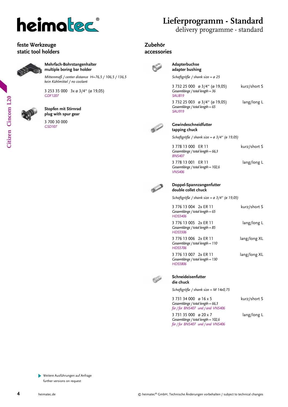

#### **feste Werkzeuge static tool holders**



**Mehrfach-Bohrstangenhalter multiple boring bar holder**

*Mittenmaß / center distance H=76,5 / 106,5 / 136,5 kein Kühlmittel / no coolant*

3 253 35 000 3x ø 3/4" (ø 19,05) *GDF1207*

#### **Stopfen mit Stirnrad plug with spur gear**

3 700 30 000 *GSD107*

## **Lieferprogramm - Standard**

delivery programme - standard

#### **Zubehör**

#### **accessories**



#### **Adapterbuchse adapter bushing**

*Schaftgröße / shank size = ø 25*

| 3 732 25 000 ø 3/4" (ø 19,05)<br>Gesamtlänge / total length = 36<br><b>SAU819</b>                  | kurz/short S |
|----------------------------------------------------------------------------------------------------|--------------|
| 3 732 25 003 $\alpha$ 3/4" ( $\alpha$ 19,05)<br>Gesamtlänge / total length = $65$<br><b>SAU919</b> | lang/long L  |



#### **Gewindeschneidfutter tapping chuck**

*Schaftgröße / shank size = ø 3/4" (ø 19,05)*

| 3 778 13 000 ER 11<br>Gesamtlänge / total length = $66,3$<br><b>BNS407</b> | kurz/short S |
|----------------------------------------------------------------------------|--------------|
| 3 778 13 001 ER 11<br>Gesamtlänge / total length = 102,6<br><b>VNS406</b>  | lang/long L  |



#### **Doppel-Spannzangenfutter double collet chuck**

*Schaftgröße / shank size = ø 3/4" (ø 19,05)*

| 3 776 13 004 2x FR 11<br>Gesamtlänge / total length = $65$<br><b>HDS5406</b>  | kurz/short S |
|-------------------------------------------------------------------------------|--------------|
| 3 776 13 005 2x FR 11<br>Gesamtlänge / total length = 85<br><b>HDS5506</b>    | lang/long L  |
| 3 776 13 006 2x FR 11<br>Gesamtlänge / total length = $110$<br><b>HDS5706</b> | lang/long XL |
| 3 776 13 007 2x FR 11<br>Gesamtlänge / total length = 130<br><b>HDS5806</b>   | lang/long XL |



#### **Schneideisenfutter die chuck**

*Schaftgröße / shank size = M 14x0,75*

3 731 34 000 ø 16 x 5 kurz/short S *für / for BNS407 und / and VNS406*

3 731 35 000 ø 20 x 7 lang/long L *Gesamtlänge / total length = 102,6 für / for BNS407 und / and VNS406*

*Gesamtlänge / total length = 66,3*

Citizen Cincom L20 **Citizen Cincom L20**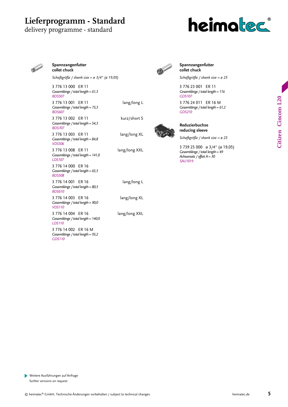### **Lieferprogramm - Standard**

#### delivery programme - standard





#### **Spannzangenfutter collet chuck**

*Schaftgröße / shank size = ø 3/4" (ø 19,05)*

3 776 13 000 ER 11 *Gesamtlänge / total length = 61,3 BDS507* 

3 776 13 001 ER 11 lang/long L *Gesamtlänge / total length = 73,3 BDS607* 

3 776 13 002 ER 11 kurz/short S *Gesamtlänge / total length = 54,3 BDS707* 

3 776 13 003 ER 11 lang/long XL *Gesamtlänge / total length = 84,8 VDS506* 

3 776 13 008 ER 11 lang/long XXL *Gesamtlänge / total length = 141,0 LDS107* 

3 776 14 000 ER 16 *Gesamtlänge / total length = 65,3 BDS508* 

3 776 14 001 ER 16 lang/long L *Gesamtlänge / total length = 80,3 BDS610* 

3 776 14 003 ER 16 lang/long XL *Gesamtlänge / total length = 90,0 VDS110* 

3 776 14 004 ER 16 lang/long XXL *Gesamtlänge / total length = 140,0 LDS110* 

3 776 14 002 ER 16 M *Gesamtlänge / total length = 93,2 GDS110* 



#### **Spannzangenfutter collet chuck**

*Schaftgröße / shank size = ø 25*

3 776 23 001 ER 11 *Gesamtlänge / total length = 116 GDS107* 

3 776 24 011 ER 16 M *Gesamtlänge / total length = 61,2 GDS210* 



#### **Reduzierbuchse reducing sleeve**

*Schaftgröße / shank size = ø 25*

3 739 25 000 ø 3/4" (ø 19,05) *Gesamtlänge / total length = 49 Achsversatz / offset A = 30 SAU1019*

Weitere Ausführungen auf Anfrage Þ further versions on request